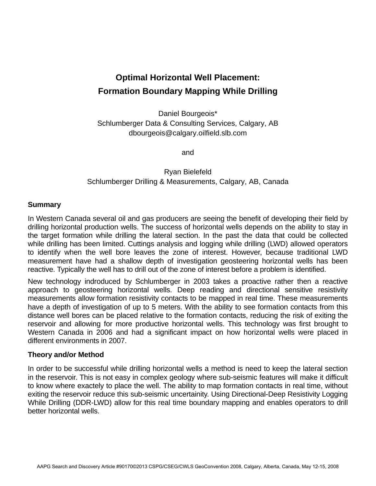# **Optimal Horizontal Well Placement: Formation Boundary Mapping While Drilling**

Daniel Bourgeois\* Schlumberger Data & Consulting Services, Calgary, AB dbourgeois@calgary.oilfield.slb.com

and

Ryan Bielefeld Schlumberger Drilling & Measurements, Calgary, AB, Canada

# **Summary**

In Western Canada several oil and gas producers are seeing the benefit of developing their field by drilling horizontal production wells. The success of horizontal wells depends on the ability to stay in the target formation while drilling the lateral section. In the past the data that could be collected while drilling has been limited. Cuttings analysis and logging while drilling (LWD) allowed operators to identify when the well bore leaves the zone of interest. However, because traditional LWD measurement have had a shallow depth of investigation geosteering horizontal wells has been reactive. Typically the well has to drill out of the zone of interest before a problem is identified.

New technology indroduced by Schlumberger in 2003 takes a proactive rather then a reactive approach to geosteering horizontal wells. Deep reading and directional sensitive resistivity measurements allow formation resistivity contacts to be mapped in real time. These measurements have a depth of investigation of up to 5 meters. With the ability to see formation contacts from this distance well bores can be placed relative to the formation contacts, reducing the risk of exiting the reservoir and allowing for more productive horizontal wells. This technology was first brought to Western Canada in 2006 and had a significant impact on how horizontal wells were placed in different environments in 2007.

### **Theory and/or Method**

In order to be successful while drilling horizontal wells a method is need to keep the lateral section in the reservoir. This is not easy in complex geology where sub-seismic features will make it difficult to know where exactely to place the well. The ability to map formation contacts in real time, without exiting the reservoir reduce this sub-seismic uncertainity. Using Directional-Deep Resistivity Logging While Drilling (DDR-LWD) allow for this real time boundary mapping and enables operators to drill better horizontal wells.